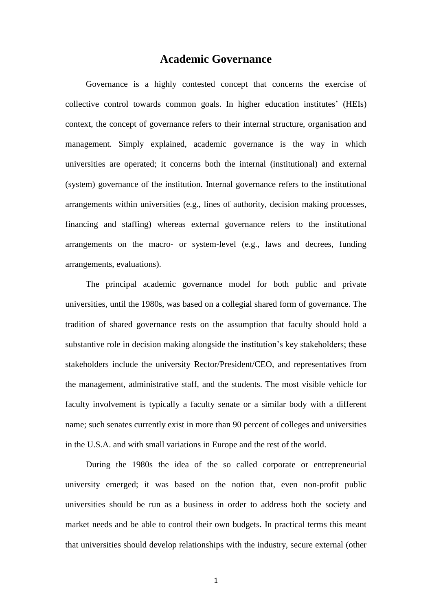# **Academic Governance**

Governance is a highly contested concept that concerns the exercise of collective control towards common goals. In higher education institutes' (HEIs) context, the concept of governance refers to their internal structure, organisation and management. Simply explained, academic governance is the way in which universities are operated; it concerns both the internal (institutional) and external (system) governance of the institution. Internal governance refers to the institutional arrangements within universities (e.g., lines of authority, decision making processes, financing and staffing) whereas external governance refers to the institutional arrangements on the macro- or system-level (e.g., laws and decrees, funding arrangements, evaluations).

The principal academic governance model for both public and private universities, until the 1980s, was based on a collegial shared form of governance. The tradition of shared governance rests on the assumption that faculty should hold a substantive role in decision making alongside the institution's key stakeholders; these stakeholders include the university Rector/President/CEO, and representatives from the management, administrative staff, and the students. The most visible vehicle for faculty involvement is typically a faculty senate or a similar body with a different name; such senates currently exist in more than 90 percent of colleges and universities in the U.S.A. and with small variations in Europe and the rest of the world.

During the 1980s the idea of the so called corporate or entrepreneurial university emerged; it was based on the notion that, even non-profit public universities should be run as a business in order to address both the society and market needs and be able to control their own budgets. In practical terms this meant that universities should develop relationships with the industry, secure external (other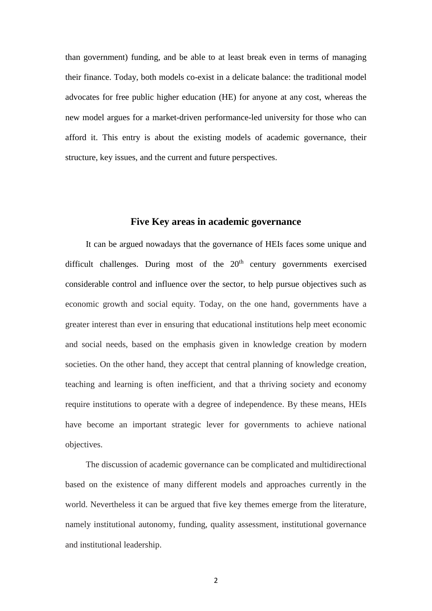than government) funding, and be able to at least break even in terms of managing their finance. Today, both models co-exist in a delicate balance: the traditional model advocates for free public higher education (HE) for anyone at any cost, whereas the new model argues for a market-driven performance-led university for those who can afford it. This entry is about the existing models of academic governance, their structure, key issues, and the current and future perspectives.

# **Five Key areas in academic governance**

It can be argued nowadays that the governance of HEIs faces some unique and difficult challenges. During most of the  $20<sup>th</sup>$  century governments exercised considerable control and influence over the sector, to help pursue objectives such as economic growth and social equity. Today, on the one hand, governments have a greater interest than ever in ensuring that educational institutions help meet economic and social needs, based on the emphasis given in knowledge creation by modern societies. On the other hand, they accept that central planning of knowledge creation, teaching and learning is often inefficient, and that a thriving society and economy require institutions to operate with a degree of independence. By these means, HEIs have become an important strategic lever for governments to achieve national objectives.

The discussion of academic governance can be complicated and multidirectional based on the existence of many different models and approaches currently in the world. Nevertheless it can be argued that five key themes emerge from the literature, namely institutional autonomy, funding, quality assessment, institutional governance and institutional leadership.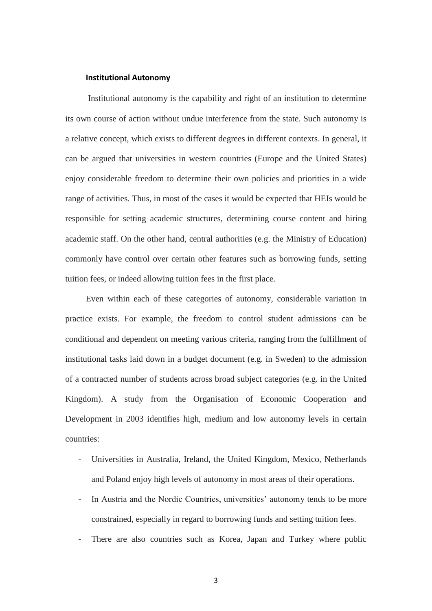## **Institutional Autonomy**

Institutional autonomy is the capability and right of an institution to determine its own course of action without undue interference from the state. Such autonomy is a relative concept, which exists to different degrees in different contexts. In general, it can be argued that universities in western countries (Europe and the United States) enjoy considerable freedom to determine their own policies and priorities in a wide range of activities. Thus, in most of the cases it would be expected that HEIs would be responsible for setting academic structures, determining course content and hiring academic staff. On the other hand, central authorities (e.g. the Ministry of Education) commonly have control over certain other features such as borrowing funds, setting tuition fees, or indeed allowing tuition fees in the first place.

Even within each of these categories of autonomy, considerable variation in practice exists. For example, the freedom to control student admissions can be conditional and dependent on meeting various criteria, ranging from the fulfillment of institutional tasks laid down in a budget document (e.g. in Sweden) to the admission of a contracted number of students across broad subject categories (e.g. in the United Kingdom). A study from the Organisation of Economic Cooperation and Development in 2003 identifies high, medium and low autonomy levels in certain countries:

- Universities in Australia, Ireland, the United Kingdom, Mexico, Netherlands and Poland enjoy high levels of autonomy in most areas of their operations.
- In Austria and the Nordic Countries, universities' autonomy tends to be more constrained, especially in regard to borrowing funds and setting tuition fees.
- There are also countries such as Korea, Japan and Turkey where public

3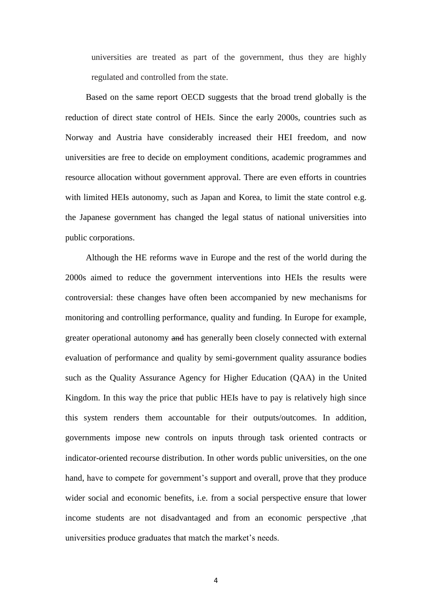universities are treated as part of the government, thus they are highly regulated and controlled from the state.

Based on the same report OECD suggests that the broad trend globally is the reduction of direct state control of HEIs. Since the early 2000s, countries such as Norway and Austria have considerably increased their HEI freedom, and now universities are free to decide on employment conditions, academic programmes and resource allocation without government approval. There are even efforts in countries with limited HEIs autonomy, such as Japan and Korea, to limit the state control e.g. the Japanese government has changed the legal status of national universities into public corporations.

Although the HE reforms wave in Europe and the rest of the world during the 2000s aimed to reduce the government interventions into HEIs the results were controversial: these changes have often been accompanied by new mechanisms for monitoring and controlling performance, quality and funding. In Europe for example, greater operational autonomy and has generally been closely connected with external evaluation of performance and quality by semi-government quality assurance bodies such as the Quality Assurance Agency for Higher Education (QAA) in the United Kingdom. In this way the price that public HEIs have to pay is relatively high since this system renders them accountable for their outputs/outcomes. In addition, governments impose new controls on inputs through task oriented contracts or indicator-oriented recourse distribution. In other words public universities, on the one hand, have to compete for government's support and overall, prove that they produce wider social and economic benefits, i.e. from a social perspective ensure that lower income students are not disadvantaged and from an economic perspective ,that universities produce graduates that match the market's needs.

4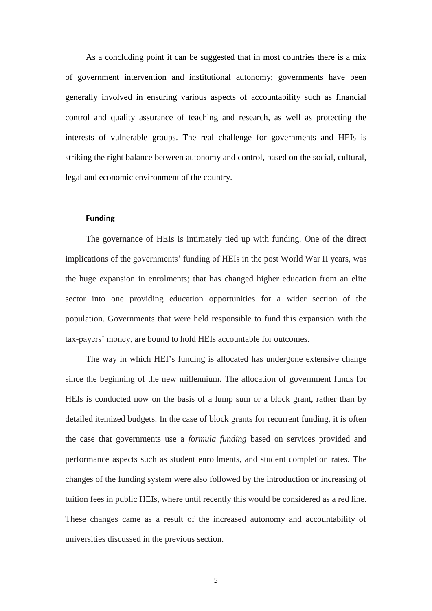As a concluding point it can be suggested that in most countries there is a mix of government intervention and institutional autonomy; governments have been generally involved in ensuring various aspects of accountability such as financial control and quality assurance of teaching and research, as well as protecting the interests of vulnerable groups. The real challenge for governments and HEIs is striking the right balance between autonomy and control, based on the social, cultural, legal and economic environment of the country.

# **Funding**

The governance of HEIs is intimately tied up with funding. One of the direct implications of the governments' funding of HEIs in the post World War II years, was the huge expansion in enrolments; that has changed higher education from an elite sector into one providing education opportunities for a wider section of the population. Governments that were held responsible to fund this expansion with the tax-payers' money, are bound to hold HEIs accountable for outcomes.

The way in which HEI's funding is allocated has undergone extensive change since the beginning of the new millennium. The allocation of government funds for HEIs is conducted now on the basis of a lump sum or a block grant, rather than by detailed itemized budgets. In the case of block grants for recurrent funding, it is often the case that governments use a *formula funding* based on services provided and performance aspects such as student enrollments, and student completion rates. The changes of the funding system were also followed by the introduction or increasing of tuition fees in public HEIs, where until recently this would be considered as a red line. These changes came as a result of the increased autonomy and accountability of universities discussed in the previous section.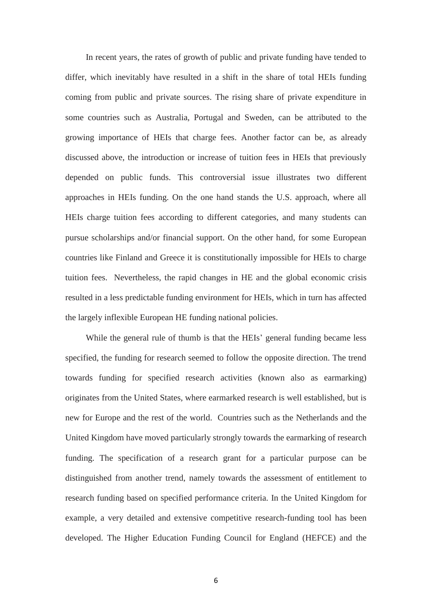In recent years, the rates of growth of public and private funding have tended to differ, which inevitably have resulted in a shift in the share of total HEIs funding coming from public and private sources. The rising share of private expenditure in some countries such as Australia, Portugal and Sweden, can be attributed to the growing importance of HEIs that charge fees. Another factor can be, as already discussed above, the introduction or increase of tuition fees in HEIs that previously depended on public funds. This controversial issue illustrates two different approaches in HEIs funding. On the one hand stands the U.S. approach, where all HEIs charge tuition fees according to different categories, and many students can pursue scholarships and/or financial support. On the other hand, for some European countries like Finland and Greece it is constitutionally impossible for HEIs to charge tuition fees. Nevertheless, the rapid changes in HE and the global economic crisis resulted in a less predictable funding environment for HEIs, which in turn has affected the largely inflexible European HE funding national policies.

While the general rule of thumb is that the HEIs' general funding became less specified, the funding for research seemed to follow the opposite direction. The trend towards funding for specified research activities (known also as earmarking) originates from the United States, where earmarked research is well established, but is new for Europe and the rest of the world. Countries such as the Netherlands and the United Kingdom have moved particularly strongly towards the earmarking of research funding. The specification of a research grant for a particular purpose can be distinguished from another trend, namely towards the assessment of entitlement to research funding based on specified performance criteria. In the United Kingdom for example, a very detailed and extensive competitive research-funding tool has been developed. The Higher Education Funding Council for England (HEFCE) and the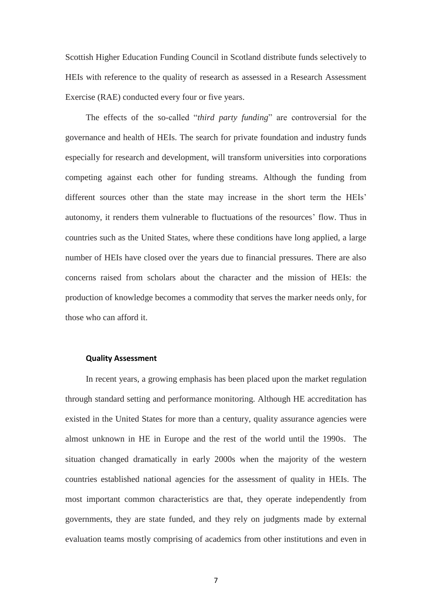Scottish Higher Education Funding Council in Scotland distribute funds selectively to HEIs with reference to the quality of research as assessed in a Research Assessment Exercise (RAE) conducted every four or five years.

The effects of the so-called "*third party funding*" are controversial for the governance and health of HEIs. The search for private foundation and industry funds especially for research and development, will transform universities into corporations competing against each other for funding streams. Although the funding from different sources other than the state may increase in the short term the HEIs' autonomy, it renders them vulnerable to fluctuations of the resources' flow. Thus in countries such as the United States, where these conditions have long applied, a large number of HEIs have closed over the years due to financial pressures. There are also concerns raised from scholars about the character and the mission of HEIs: the production of knowledge becomes a commodity that serves the marker needs only, for those who can afford it.

#### **Quality Assessment**

In recent years, a growing emphasis has been placed upon the market regulation through standard setting and performance monitoring. Although HE accreditation has existed in the United States for more than a century, quality assurance agencies were almost unknown in HE in Europe and the rest of the world until the 1990s. The situation changed dramatically in early 2000s when the majority of the western countries established national agencies for the assessment of quality in HEIs. The most important common characteristics are that, they operate independently from governments, they are state funded, and they rely on judgments made by external evaluation teams mostly comprising of academics from other institutions and even in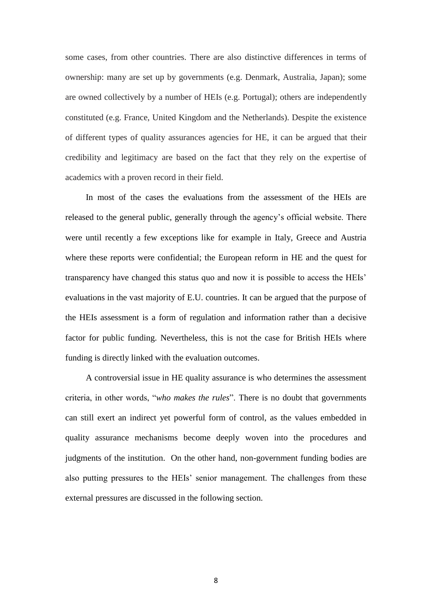some cases, from other countries. There are also distinctive differences in terms of ownership: many are set up by governments (e.g. Denmark, Australia, Japan); some are owned collectively by a number of HEIs (e.g. Portugal); others are independently constituted (e.g. France, United Kingdom and the Netherlands). Despite the existence of different types of quality assurances agencies for HE, it can be argued that their credibility and legitimacy are based on the fact that they rely on the expertise of academics with a proven record in their field.

In most of the cases the evaluations from the assessment of the HEIs are released to the general public, generally through the agency's official website. There were until recently a few exceptions like for example in Italy, Greece and Austria where these reports were confidential; the European reform in HE and the quest for transparency have changed this status quo and now it is possible to access the HEIs' evaluations in the vast majority of E.U. countries. It can be argued that the purpose of the HEIs assessment is a form of regulation and information rather than a decisive factor for public funding. Nevertheless, this is not the case for British HEIs where funding is directly linked with the evaluation outcomes.

A controversial issue in HE quality assurance is who determines the assessment criteria, in other words, "*who makes the rules*". There is no doubt that governments can still exert an indirect yet powerful form of control, as the values embedded in quality assurance mechanisms become deeply woven into the procedures and judgments of the institution. On the other hand, non-government funding bodies are also putting pressures to the HEIs' senior management. The challenges from these external pressures are discussed in the following section.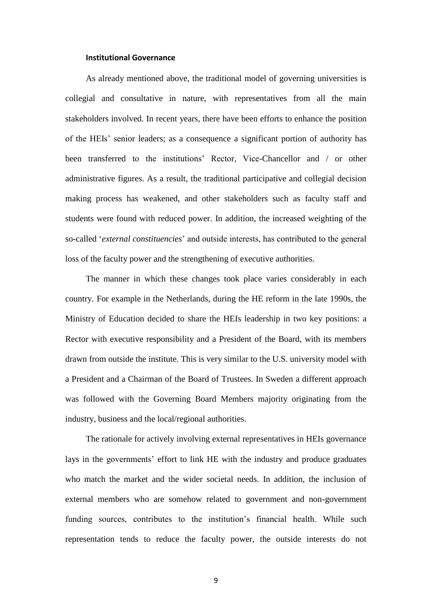# **Institutional Governance**

As already mentioned above, the traditional model of governing universities is collegial and consultative in nature, with representatives from all the main stakeholders involved. In recent years, there have been efforts to enhance the position of the HEIs' senior leaders; as a consequence a significant portion of authority has been transferred to the institutions' Rector, Vice-Chancellor and / or other administrative figures. As a result, the traditional participative and collegial decision making process has weakened, and other stakeholders such as faculty staff and students were found with reduced power. In addition, the increased weighting of the so-called '*external constituencies*' and outside interests, has contributed to the general loss of the faculty power and the strengthening of executive authorities.

The manner in which these changes took place varies considerably in each country. For example in the Netherlands, during the HE reform in the late 1990s, the Ministry of Education decided to share the HEIs leadership in two key positions: a Rector with executive responsibility and a President of the Board, with its members drawn from outside the institute. This is very similar to the U.S. university model with a President and a Chairman of the Board of Trustees. In Sweden a different approach was followed with the Governing Board Members majority originating from the industry, business and the local/regional authorities.

The rationale for actively involving external representatives in HEIs governance lays in the governments' effort to link HE with the industry and produce graduates who match the market and the wider societal needs. In addition, the inclusion of external members who are somehow related to government and non-government funding sources, contributes to the institution's financial health. While such representation tends to reduce the faculty power, the outside interests do not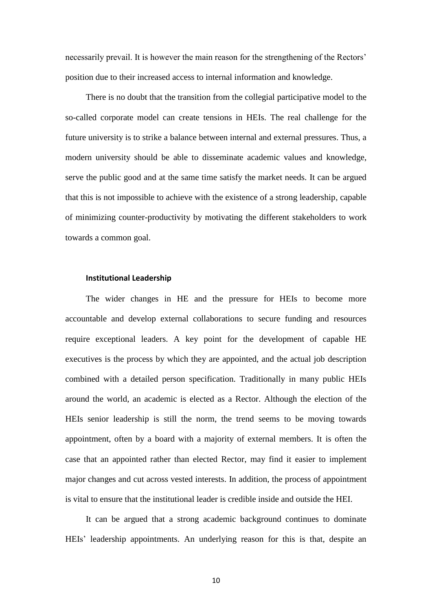necessarily prevail. It is however the main reason for the strengthening of the Rectors' position due to their increased access to internal information and knowledge.

There is no doubt that the transition from the collegial participative model to the so-called corporate model can create tensions in HEIs. The real challenge for the future university is to strike a balance between internal and external pressures. Thus, a modern university should be able to disseminate academic values and knowledge, serve the public good and at the same time satisfy the market needs. It can be argued that this is not impossible to achieve with the existence of a strong leadership, capable of minimizing counter-productivity by motivating the different stakeholders to work towards a common goal.

#### **Institutional Leadership**

The wider changes in HE and the pressure for HEIs to become more accountable and develop external collaborations to secure funding and resources require exceptional leaders. A key point for the development of capable HE executives is the process by which they are appointed, and the actual job description combined with a detailed person specification. Traditionally in many public HEIs around the world, an academic is elected as a Rector. Although the election of the HEIs senior leadership is still the norm, the trend seems to be moving towards appointment, often by a board with a majority of external members. It is often the case that an appointed rather than elected Rector, may find it easier to implement major changes and cut across vested interests. In addition, the process of appointment is vital to ensure that the institutional leader is credible inside and outside the HEI.

It can be argued that a strong academic background continues to dominate HEIs' leadership appointments. An underlying reason for this is that, despite an

10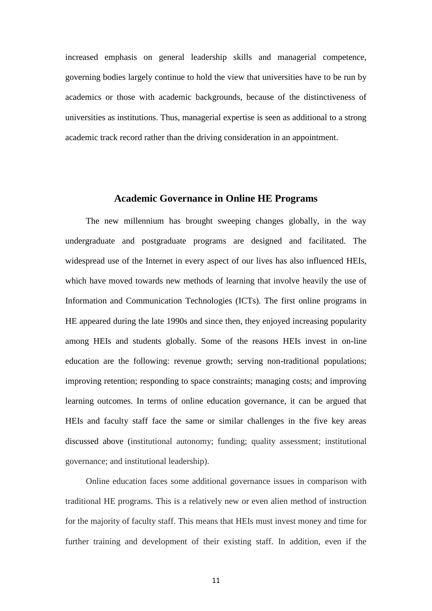increased emphasis on general leadership skills and managerial competence, governing bodies largely continue to hold the view that universities have to be run by academics or those with academic backgrounds, because of the distinctiveness of universities as institutions. Thus, managerial expertise is seen as additional to a strong academic track record rather than the driving consideration in an appointment.

# **Academic Governance in Online HE Programs**

The new millennium has brought sweeping changes globally, in the way undergraduate and postgraduate programs are designed and facilitated. The widespread use of the Internet in every aspect of our lives has also influenced HEIs, which have moved towards new methods of learning that involve heavily the use of Information and Communication Technologies (ICTs). The first online programs in HE appeared during the late 1990s and since then, they enjoyed increasing popularity among HEIs and students globally. Some of the reasons HEIs invest in on-line education are the following: revenue growth; serving non-traditional populations; improving retention; responding to space constraints; managing costs; and improving learning outcomes. In terms of online education governance, it can be argued that HEIs and faculty staff face the same or similar challenges in the five key areas discussed above (institutional autonomy; funding; quality assessment; institutional governance; and institutional leadership).

Online education faces some additional governance issues in comparison with traditional HE programs. This is a relatively new or even alien method of instruction for the majority of faculty staff. This means that HEIs must invest money and time for further training and development of their existing staff. In addition, even if the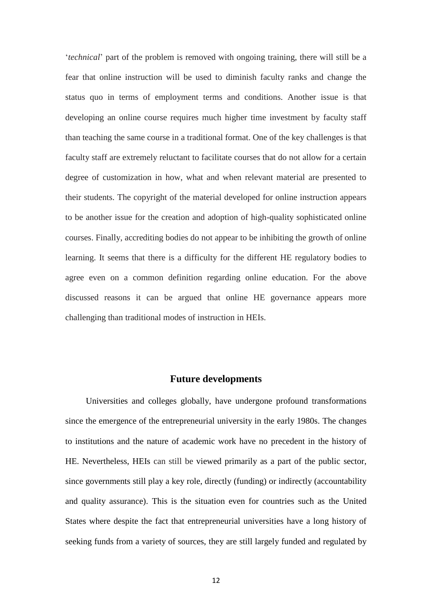'*technical*' part of the problem is removed with ongoing training, there will still be a fear that online instruction will be used to diminish faculty ranks and change the status quo in terms of employment terms and conditions. Another issue is that developing an online course requires much higher time investment by faculty staff than teaching the same course in a traditional format. One of the key challenges is that faculty staff are extremely reluctant to facilitate courses that do not allow for a certain degree of customization in how, what and when relevant material are presented to their students. The copyright of the material developed for online instruction appears to be another issue for the creation and adoption of high-quality sophisticated online courses. Finally, accrediting bodies do not appear to be inhibiting the growth of online learning. It seems that there is a difficulty for the different HE regulatory bodies to agree even on a common definition regarding online education. For the above discussed reasons it can be argued that online HE governance appears more challenging than traditional modes of instruction in HEIs.

# **Future developments**

Universities and colleges globally, have undergone profound transformations since the emergence of the entrepreneurial university in the early 1980s. The changes to institutions and the nature of academic work have no precedent in the history of HE. Nevertheless, HEIs can still be viewed primarily as a part of the public sector, since governments still play a key role, directly (funding) or indirectly (accountability and quality assurance). This is the situation even for countries such as the United States where despite the fact that entrepreneurial universities have a long history of seeking funds from a variety of sources, they are still largely funded and regulated by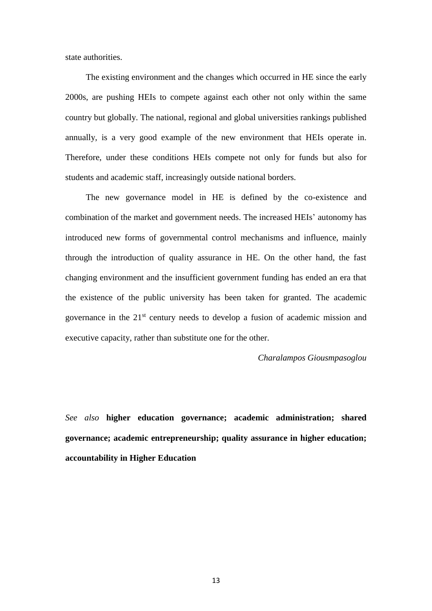state authorities.

The existing environment and the changes which occurred in HE since the early 2000s, are pushing HEIs to compete against each other not only within the same country but globally. The national, regional and global universities rankings published annually, is a very good example of the new environment that HEIs operate in. Therefore, under these conditions HEIs compete not only for funds but also for students and academic staff, increasingly outside national borders.

The new governance model in HE is defined by the co-existence and combination of the market and government needs. The increased HEIs' autonomy has introduced new forms of governmental control mechanisms and influence, mainly through the introduction of quality assurance in HE. On the other hand, the fast changing environment and the insufficient government funding has ended an era that the existence of the public university has been taken for granted. The academic governance in the 21st century needs to develop a fusion of academic mission and executive capacity, rather than substitute one for the other.

#### *Charalampos Giousmpasoglou*

*See also* **higher education governance; academic administration; shared governance; academic entrepreneurship; quality assurance in higher education; accountability in Higher Education**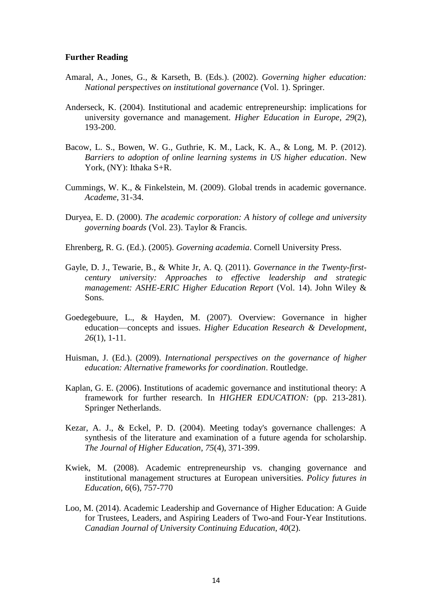# **Further Reading**

- Amaral, A., Jones, G., & Karseth, B. (Eds.). (2002). *Governing higher education: National perspectives on institutional governance* (Vol. 1). Springer.
- Anderseck, K. (2004). Institutional and academic entrepreneurship: implications for university governance and management. *Higher Education in Europe*, *29*(2), 193-200.
- Bacow, L. S., Bowen, W. G., Guthrie, K. M., Lack, K. A., & Long, M. P. (2012). *Barriers to adoption of online learning systems in US higher education*. New York, (NY): Ithaka S+R.
- Cummings, W. K., & Finkelstein, M. (2009). Global trends in academic governance. *Academe*, 31-34.
- Duryea, E. D. (2000). *The academic corporation: A history of college and university governing boards* (Vol. 23). Taylor & Francis.
- Ehrenberg, R. G. (Ed.). (2005). *Governing academia*. Cornell University Press.
- Gayle, D. J., Tewarie, B., & White Jr, A. Q. (2011). *Governance in the Twenty-firstcentury university: Approaches to effective leadership and strategic management: ASHE-ERIC Higher Education Report* (Vol. 14). John Wiley & Sons.
- Goedegebuure, L., & Hayden, M. (2007). Overview: Governance in higher education—concepts and issues. *Higher Education Research & Development*, *26*(1), 1-11.
- Huisman, J. (Ed.). (2009). *International perspectives on the governance of higher education: Alternative frameworks for coordination*. Routledge.
- Kaplan, G. E. (2006). Institutions of academic governance and institutional theory: A framework for further research. In *HIGHER EDUCATION:* (pp. 213-281). Springer Netherlands.
- Kezar, A. J., & Eckel, P. D. (2004). Meeting today's governance challenges: A synthesis of the literature and examination of a future agenda for scholarship. *The Journal of Higher Education*, *75*(4), 371-399.
- Kwiek, M. (2008). Academic entrepreneurship vs. changing governance and institutional management structures at European universities. *Policy futures in Education*, *6*(6), 757-770
- Loo, M. (2014). Academic Leadership and Governance of Higher Education: A Guide for Trustees, Leaders, and Aspiring Leaders of Two-and Four-Year Institutions. *Canadian Journal of University Continuing Education*, *40*(2).